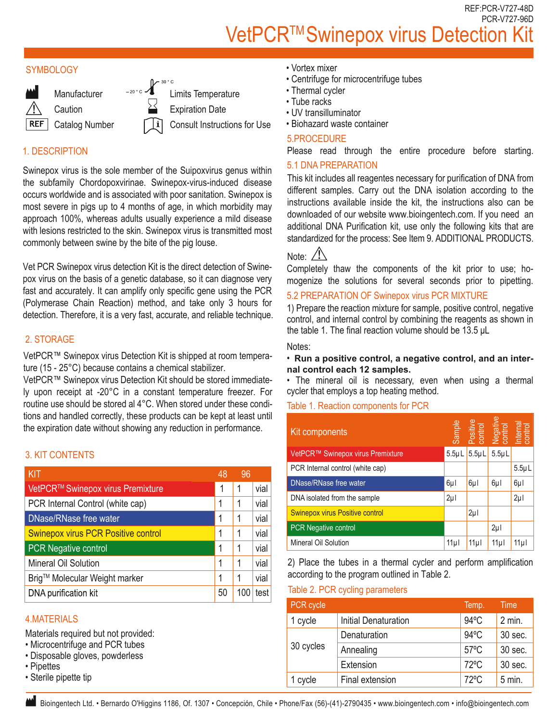REF:PCR-V727-48D PCR-V727-96D VetPCR™ Swinepox virus Detection K

#### **SYMBOLOGY**



# 1. DESCRIPTION

Swinepox virus is the sole member of the Suipoxvirus genus within the subfamily Chordopoxvirinae. Swinepox-virus-induced disease occurs worldwide and is associated with poor sanitation. Swinepox is most severe in pigs up to 4 months of age, in which morbidity may approach 100%, whereas adults usually experience a mild disease with lesions restricted to the skin. Swinepox virus is transmitted most commonly between swine by the bite of the pig louse.

Vet PCR Swinepox virus detection Kit is the direct detection of Swinepox virus on the basis of a genetic database, so it can diagnose very fast and accurately. It can amplify only specific gene using the PCR (Polymerase Chain Reaction) method, and take only 3 hours for detection. Therefore, it is a very fast, accurate, and reliable technique.

## 2. STORAGE

VetPCR™ Swinepox virus Detection Kit is shipped at room temperature (15 - 25°C) because contains a chemical stabilizer.

VetPCR™ Swinepox virus Detection Kit should be stored immediately upon receipt at -20°C in a constant temperature freezer. For routine use should be stored al 4°C. When stored under these conditions and handled correctly, these products can be kept at least until the expiration date without showing any reduction in performance.

## 3. KIT CONTENTS

| KIT                                        | 48 | 96  |      |
|--------------------------------------------|----|-----|------|
| VetPCR™ Swinepox virus Premixture          | 1  | 1   | vial |
| PCR Internal Control (white cap)           | 1  | 1   | vial |
| <b>DNase/RNase free water</b>              | 1  | 1   | vial |
| <b>Swinepox virus PCR Positive control</b> | 1  | 1   | vial |
| <b>PCR Negative control</b>                | 1  | 1   | vial |
| Mineral Oil Solution                       | 1  | 1   | vial |
| Brig™ Molecular Weight marker              | 1  | 1   | vial |
| DNA purification kit                       | 50 | 100 | test |

## 4.MATERIALS

Materials required but not provided:

- Microcentrifuge and PCR tubes
- Disposable gloves, powderless
- Pipettes
- Sterile pipette tip
- Vortex mixer
- Centrifuge for microcentrifuge tubes
- Thermal cycler
- Tube racks
- UV transilluminator
- Biohazard waste container

#### 5.PROCEDURE

Please read through the entire procedure before starting.

## 5.1 DNA PREPARATION

This kit includes all reagentes necessary for purification of DNA from different samples. Carry out the DNA isolation according to the instructions available inside the kit, the instructions also can be downloaded of our website www.bioingentech.com. If you need an additional DNA Purification kit, use only the following kits that are standardized for the process: See Item 9. ADDITIONAL PRODUCTS.

## Note:  $\angle I$

Completely thaw the components of the kit prior to use; homogenize the solutions for several seconds prior to pipetting.

## 5.2 PREPARATION OF Swinepox virus PCR MIXTURE

1) Prepare the reaction mixture for sample, positive control, negative control, and internal control by combining the reagents as shown in the table 1. The final reaction volume should be 13.5 μL

#### Notes:

#### • **Run a positive control, a negative control, and an internal control each 12 samples.**

• The mineral oil is necessary, even when using a thermal cycler that employs a top heating method.

## Table 1. Reaction components for PCR

| Kit components                                | Sample           |                 | Positive<br>control<br>Negative<br>control<br>Internal |                 |
|-----------------------------------------------|------------------|-----------------|--------------------------------------------------------|-----------------|
| VetPCR <sup>™</sup> Swinepox virus Premixture | 5.5 <sub>µ</sub> | $5.5 \mu L$     | $5.5 \mu L$                                            |                 |
| PCR Internal control (white cap)              |                  |                 |                                                        | $5.5\mu L$      |
| DNase/RNase free water                        | 6µl              | 6µl             | 6µl                                                    | $6\mu$          |
| DNA isolated from the sample                  | $2\mu$           |                 |                                                        | $2\mu$          |
| <b>Swinepox virus Positive control</b>        |                  | $2\mu$          |                                                        |                 |
| <b>PCR Negative control</b>                   |                  |                 | $2\mu$                                                 |                 |
| <b>Mineral Oil Solution</b>                   | 11 <sub>µ</sub>  | 11 <sub>µ</sub> | 11 <sub>µ</sub>                                        | 11 <sub>µ</sub> |

2) Place the tubes in a thermal cycler and perform amplification according to the program outlined in Table 2.

#### Table 2. PCR cycling parameters

| PCR cycle |                             | Temp.          | Time     |
|-----------|-----------------------------|----------------|----------|
| cycle     | <b>Initial Denaturation</b> | $94^{\circ}$ C | $2$ min. |
| 30 cycles | Denaturation                | $94^{\circ}$ C | 30 sec.  |
|           | Annealing                   | $57^{\circ}$ C | 30 sec.  |
|           | Extension                   | $72^{\circ}$ C | 30 sec.  |
| cycle     | Final extension             | $72^{\circ}$ C | $5$ min. |

Bioingentech Ltd. • Bernardo O'Higgins 1186, Of. 1307 • Concepción, Chile • Phone/Fax (56)-(41)-2790435 • www.bioingentech.com • info@bioingentech.com